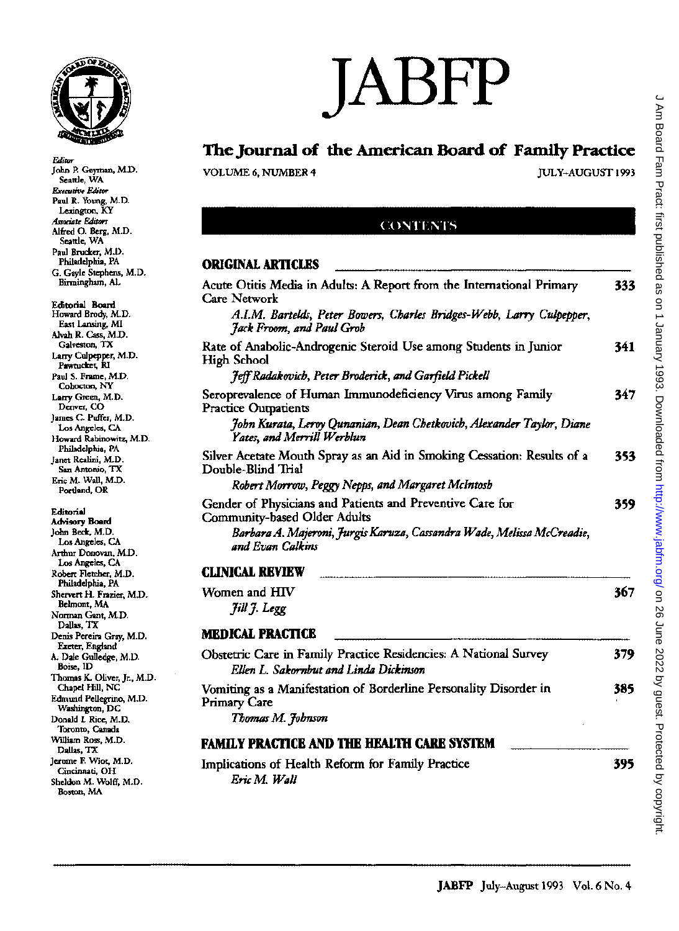

John P. Geyman, M.D. Seattle, WA

*EJitlW* 

# **JABFP**

### **The Journal of the American Board of Family Practice**

VOLUME 6, NUMBER 4 **IULY-AUGUST** 1993

#### (:()NTENTS

#### **ORIGINAL ARTICLES**

| Care Network<br>A.I.M. Bartelds, Peter Bowers, Charles Bridges-Webb, Larry Culpepper,<br>Jack Froom, and Paul Grob<br>Rate of Anabolic-Androgenic Steroid Use among Students in Junior<br>High School<br>Jeff Radakovich, Peter Broderick, and Garfield Pickell<br>Seroprevalence of Human Immunodeficiency Virus among Family | 341<br>347 |
|--------------------------------------------------------------------------------------------------------------------------------------------------------------------------------------------------------------------------------------------------------------------------------------------------------------------------------|------------|
|                                                                                                                                                                                                                                                                                                                                |            |
|                                                                                                                                                                                                                                                                                                                                |            |
|                                                                                                                                                                                                                                                                                                                                |            |
| <b>Practice Outpatients</b>                                                                                                                                                                                                                                                                                                    |            |
| John Kurata, Leroy Qunanian, Dean Chetkovich, Alexander Taylor, Diane<br>Yates, and Merrill Werblun                                                                                                                                                                                                                            |            |
| Silver Acetate Mouth Spray as an Aid in Smoking Cessation: Results of a<br>Double-Blind Trial                                                                                                                                                                                                                                  | 353        |
| Robert Morrow, Peggy Nepps, and Margaret McIntosh                                                                                                                                                                                                                                                                              |            |
| Gender of Physicians and Patients and Preventive Care for<br><b>Community-based Older Adults</b>                                                                                                                                                                                                                               | 359        |
| Barbara A. Majeroni, Jurgis Karuza, Cassandra Wade, Melissa McCreadie,<br>and Evan Calkins                                                                                                                                                                                                                                     |            |
| <b>CLINICAL REVIEW</b>                                                                                                                                                                                                                                                                                                         |            |
| Women and HIV                                                                                                                                                                                                                                                                                                                  | 367        |
| Jill J. Legg                                                                                                                                                                                                                                                                                                                   |            |
| <b>MEDICAL PRACTICE</b>                                                                                                                                                                                                                                                                                                        |            |
| Obstetric Care in Family Practice Residencies: A National Survey<br>Ellen L. Sakornbut and Linda Dickinson                                                                                                                                                                                                                     | 379        |
| Vomiting as a Manifestation of Borderline Personality Disorder in<br><b>Primary Care</b>                                                                                                                                                                                                                                       | 385        |
| Thomas M. Johnson                                                                                                                                                                                                                                                                                                              |            |
| <b>FAMILY PRACTICE AND THE HEALTH CARE SYSTEM</b>                                                                                                                                                                                                                                                                              |            |
| Implications of Health Reform for Family Practice<br>Eric M. Wall                                                                                                                                                                                                                                                              | 395        |

**Executive Editor** Paul R. Young, M.D. Lexington, KY *Ass0ci4te Editors*  Alfred O. Berg, M.D. Seattle, WA Paul Brucker, M.D. Philadelphia, PA G. Gayle Stephens, M.D. Binningham, AL Editorial Board Howard Brody, M.D. East Lansing, MI Alvah R. Cass, M.D. Galveston, TX Larry Culpepper, M.D. Pawtucket, RI Paul S. Frame, M.D. Cohocton, NY Lany Green, M.D. Denver, CO James C. Puffer, M.D.

Los Angeles, CA Howard Rabinowitz, M.D. Philadelphia, PA Janet Realini, M.D. San Antonio, TX Eric M. Wall, M.D. Portland, OR

**Editorial** 

Advisory Board John Beck, M.D. Los Angeles, CA Arthur Donovan, M.D. Los Angeles, CA Raben Fletcher, M.D. Philadelphia, PA Shervert H. Frazier, M.D. Belmont, MA Nonnan Gant, M.D. Dallas, TX Denis Pereira Gray, M.D. Ezeter, England A. Dale Gulledge, M.D. Boise,ID Thomas K. Oliver, Jr., M.D. Chapel Hill, NC Edmund Pellegrino, M.D. Washington, DC Donald L Rice, M.D. Toronto, Canada William Ross, M.D. Dallas, TX Jerome F. Wiot, M.D. Cincinnati, OH Sheldon M. Wolff, M.D. Boston, MA